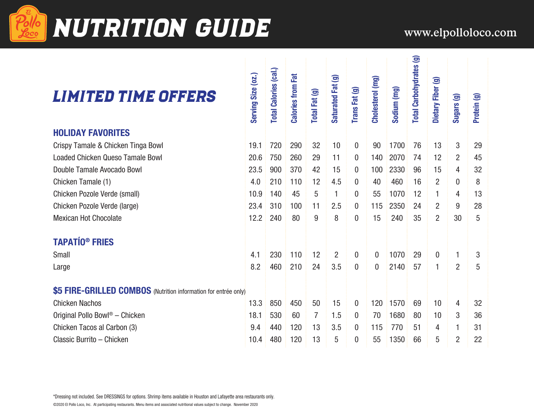

# Pollo NUTRITION GUIDE WWW.elpolloloco.com

n.

| <b>LIMITED TIME OFFERS</b>                                      | Serving Size (oz.) | <b>Total Calories (cal.)</b> | <b>Calories from Fat</b> | Total Fat (g) | Saturated Fat (g) | Trans Fat (g)    | Cholesterol (mg) | Sodium (mg) | <b>Total Carbohydrates (g)</b> | Dietary Fiber (g) | Sugars (g)     | Protein (g) |
|-----------------------------------------------------------------|--------------------|------------------------------|--------------------------|---------------|-------------------|------------------|------------------|-------------|--------------------------------|-------------------|----------------|-------------|
| <b>HOLIDAY FAVORITES</b>                                        |                    |                              |                          |               |                   |                  |                  |             |                                |                   |                |             |
| Crispy Tamale & Chicken Tinga Bowl                              | 19.1               | 720                          | 290                      | 32            | 10                | $\mathbf{0}$     | 90               | 1700        | 76                             | 13                | 3              | 29          |
| <b>Loaded Chicken Queso Tamale Bowl</b>                         | 20.6               | 750                          | 260                      | 29            | 11                | $\mathbf{0}$     | 140              | 2070        | 74                             | 12                | $\overline{2}$ | 45          |
| Double Tamale Avocado Bowl                                      | 23.5               | 900                          | 370                      | 42            | 15                | $\mathbf{0}$     | 100              | 2330        | 96                             | 15                | 4              | 32          |
| Chicken Tamale (1)                                              | 4.0                | 210                          | 110                      | 12            | 4.5               | $\boldsymbol{0}$ | 40               | 460         | 16                             | $\overline{2}$    | $\mathbf 0$    | 8           |
| Chicken Pozole Verde (small)                                    | 10.9               | 140                          | 45                       | 5             | 1                 | $\boldsymbol{0}$ | 55               | 1070        | 12                             | 1                 | 4              | 13          |
| Chicken Pozole Verde (large)                                    | 23.4               | 310                          | 100                      | 11            | 2.5               | $\mathbf{0}$     | 115              | 2350        | 24                             | $\overline{2}$    | 9              | 28          |
| <b>Mexican Hot Chocolate</b>                                    | 12.2               | 240                          | 80                       | 9             | 8                 | $\mathbf{0}$     | 15               | 240         | 35                             | $\overline{2}$    | 30             | 5           |
| <b>TAPATÍO® FRIES</b>                                           |                    |                              |                          |               |                   |                  |                  |             |                                |                   |                |             |
| Small                                                           | 4.1                | 230                          | 110                      | 12            | $\overline{2}$    | $\mathbf 0$      | $\mathbf{0}$     | 1070        | 29                             | 0                 | 1              | 3           |
| Large                                                           | 8.2                | 460                          | 210                      | 24            | 3.5               | $\mathbf{0}$     | $\mathbf{0}$     | 2140        | 57                             | 1                 | $\overline{2}$ | 5           |
| \$5 FIRE-GRILLED COMBOS (Nutrition information for entrée only) |                    |                              |                          |               |                   |                  |                  |             |                                |                   |                |             |
| <b>Chicken Nachos</b>                                           | 13.3               | 850                          | 450                      | 50            | 15                | $\mathbf{0}$     | 120              | 1570        | 69                             | 10                | 4              | 32          |
| Original Pollo Bowl <sup>®</sup> - Chicken                      | 18.1               | 530                          | 60                       | 7             | 1.5               | $\mathbf{0}$     | 70               | 1680        | 80                             | 10                | 3              | 36          |
| Chicken Tacos al Carbon (3)                                     | 9.4                | 440                          | 120                      | 13            | 3.5               | $\mathbf{0}$     | 115              | 770         | 51                             | 4                 | 1              | 31          |
| Classic Burrito - Chicken                                       | 10.4               | 480                          | 120                      | 13            | 5                 | $\boldsymbol{0}$ | 55               | 1350        | 66                             | 5                 | $\overline{2}$ | 22          |

\*Dressing not included. See DRESSINGS for options. Shrimp items available in Houston and Lafayette area restaurants only.

©2020 El Pollo Loco, Inc. At participating restaurants. Menu items and associated nutritional values subject to change. November 2020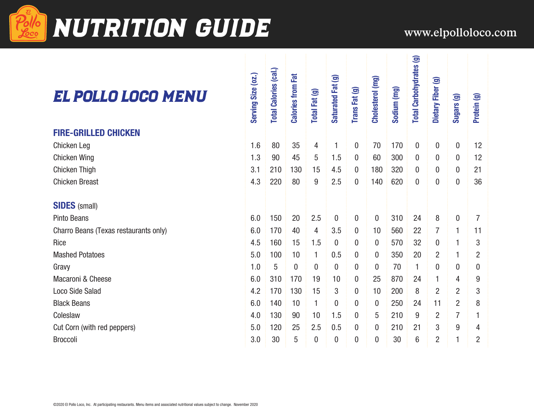

## **Pollo NUTRITION GUIDE** www.elpolloloco.com

### El Pollo Loco Menu

#### **FIRE-GRILLED CHICKEN**

#### **SIDES** (small)

Cut Corn (with red peppers)

| EL POLLO LOGO MENU                    | Serving Size (02.) | <b>Total Calories (cal.)</b> | <b>Calories from Fat</b> | Total Fat (g) | Saturated Fat (g) | Trans Fat (g)    | Cholesterol (mg) | Sodium (mg) | <b>Total Carbohydrates (g)</b> | Dietary Fiber (g) | Sugars (g)       | Protein (g)      |  |
|---------------------------------------|--------------------|------------------------------|--------------------------|---------------|-------------------|------------------|------------------|-------------|--------------------------------|-------------------|------------------|------------------|--|
| <b>FIRE-GRILLED CHICKEN</b>           |                    |                              |                          |               |                   |                  |                  |             |                                |                   |                  |                  |  |
| Chicken Leg                           | 1.6                | 80                           | 35                       | 4             | 1                 | $\mathbf 0$      | 70               | 170         | $\mathbf{0}$                   | $\mathbf{0}$      | $\bf{0}$         | 12               |  |
| Chicken Wing                          | 1.3                | 90                           | 45                       | 5             | 1.5               | 0                | 60               | 300         | $\boldsymbol{0}$               | 0                 | 0                | 12               |  |
| Chicken Thigh                         | 3.1                | 210                          | 130                      | 15            | 4.5               | 0                | 180              | 320         | $\boldsymbol{0}$               | 0                 | $\bf{0}$         | 21               |  |
| <b>Chicken Breast</b>                 | 4.3                | 220                          | 80                       | 9             | 2.5               | 0                | 140              | 620         | $\boldsymbol{0}$               | 0                 | $\boldsymbol{0}$ | 36               |  |
| <b>SIDES</b> (small)                  |                    |                              |                          |               |                   |                  |                  |             |                                |                   |                  |                  |  |
| <b>Pinto Beans</b>                    | 6.0                | 150                          | 20                       | 2.5           | $\mathbf 0$       | $\mathbf{0}$     | $\mathbf{0}$     | 310         | 24                             | 8                 | $\mathbf 0$      | $\overline{7}$   |  |
| Charro Beans (Texas restaurants only) | 6.0                | 170                          | 40                       | 4             | 3.5               | 0                | 10               | 560         | 22                             | 7                 | 1                | 11               |  |
| Rice                                  | 4.5                | 160                          | 15                       | 1.5           | 0                 | 0                | $\bf{0}$         | 570         | 32                             | 0                 | 1                | 3                |  |
| <b>Mashed Potatoes</b>                | 5.0                | 100                          | 10                       | 1             | 0.5               | 0                | $\bf{0}$         | 350         | 20                             | $\overline{2}$    | 1                | $\overline{2}$   |  |
| Gravy                                 | 1.0                | 5                            | $\overline{0}$           | $\bf{0}$      | $\bf{0}$          | 0                | $\Omega$         | 70          | 1                              | $\mathbf 0$       | $\overline{0}$   | $\boldsymbol{0}$ |  |
| Macaroni & Cheese                     | 6.0                | 310                          | 170                      | 19            | 10                | $\boldsymbol{0}$ | 25               | 870         | 24                             | 1                 | 4                | 9                |  |
| <b>Loco Side Salad</b>                | 4.2                | 170                          | 130                      | 15            | 3                 | 0                | 10               | 200         | 8                              | $\overline{2}$    | $\overline{2}$   | 3                |  |
| <b>Black Beans</b>                    | 6.0                | 140                          | 10                       | 1             | $\overline{0}$    | 0                | $\Omega$         | 250         | 24                             | 11                | $\overline{2}$   | 8                |  |
| Coleslaw                              | 4.0                | 130                          | 90                       | 10            | 1.5               | 0                | 5                | 210         | 9                              | $\overline{2}$    | 7                |                  |  |
| Cut Corn (with red peppers)           | 5.0                | 120                          | 25                       | 2.5           | 0.5               | 0                | 0                | 210         | 21                             | 3                 | 9                | 4                |  |
| <b>Broccoli</b>                       | 3.0                | 30                           | 5                        | 0             | $\bf{0}$          | $\mathbf{0}$     | 0                | 30          | $6\phantom{1}6$                | 2                 | 1                | $\overline{2}$   |  |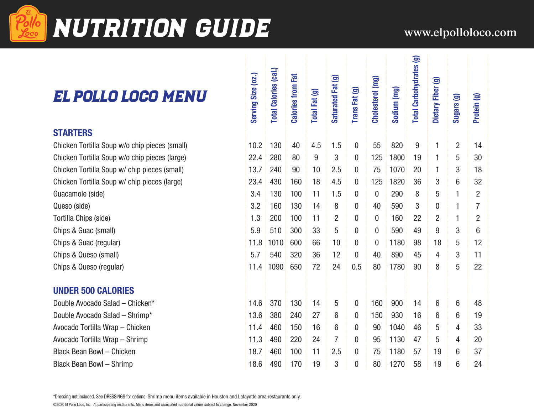

# NUTRITION GUIDE WWW.elpolloloco.com

 $\mathbf{I}$   $\mathbf{I}$ 

### El Pollo Loco Menu

#### **STARTERS**

#### **UNDER 500 CALORIES**

| EL POLLO LOGO MENU                                                                                                             | Serving Size (oz.) | <b>Total Calories (cal.)</b> | <b>Calories from Fat</b> | Total Fat (g) | Saturated Fat (g) | Trans Fat (g)    | Cholesterol (mg) | Sodium (mg) | <b>Total Carbohydrates (g)</b> | Dietary Fiber (g) | Sugars (g)     | Protein (g)    |
|--------------------------------------------------------------------------------------------------------------------------------|--------------------|------------------------------|--------------------------|---------------|-------------------|------------------|------------------|-------------|--------------------------------|-------------------|----------------|----------------|
| <b>STARTERS</b>                                                                                                                |                    |                              |                          |               |                   |                  |                  |             |                                |                   |                |                |
| Chicken Tortilla Soup w/o chip pieces (small)                                                                                  | 10.2               | 130                          | 40                       | 4.5           | 1.5               | $\boldsymbol{0}$ | 55               | 820         | 9                              | 1                 | $\overline{2}$ | 14             |
| Chicken Tortilla Soup w/o chip pieces (large)                                                                                  | 22.4               | 280                          | 80                       | 9             | 3                 | 0                | 125              | 1800        | 19                             | $\mathbf{1}$      | $\overline{5}$ | 30             |
| Chicken Tortilla Soup w/ chip pieces (small)                                                                                   | 13.7               | 240                          | 90                       | 10            | 2.5               | 0                | 75               | 1070        | 20                             | 1                 | 3              | 18             |
| Chicken Tortilla Soup w/ chip pieces (large)                                                                                   | 23.4               | 430                          | 160                      | 18            | 4.5               | 0                | 125              | 1820        | 36                             | 3                 | 6              | 32             |
| Guacamole (side)                                                                                                               | 3.4                | 130                          | 100                      | 11            | 1.5               | 0                | 0                | 290         | 8                              | 5                 | 1              | $\overline{2}$ |
| Queso (side)                                                                                                                   | 3.2                | 160                          | 130                      | 14            | 8                 | 0                | 40               | 590         | 3                              | $\overline{0}$    | 1              | $\overline{7}$ |
| Tortilla Chips (side)                                                                                                          | 1.3                | 200                          | 100                      | 11            | 2                 | 0                | $\boldsymbol{0}$ | 160         | 22                             | $\overline{2}$    | $\mathbf{1}$   | $\overline{2}$ |
| Chips & Guac (small)                                                                                                           | 5.9                | 510                          | 300                      | 33            | 5                 | 0                | $\boldsymbol{0}$ | 590         | 49                             | $9\,$             | 3              | 6              |
| Chips & Guac (regular)                                                                                                         | 11.8               | 1010                         | 600                      | 66            | 10                | 0                | 0                | 1180        | 98                             | 18                | 5              | 12             |
| Chips & Queso (small)                                                                                                          | 5.7                | 540                          | 320                      | 36            | 12                | 0                | 40               | 890         | 45                             | 4                 | 3              | 11             |
| Chips & Queso (regular)                                                                                                        | 11.4               | 1090                         | 650                      | 72            | 24                | 0.5              | 80               | 1780        | 90                             | 8                 | 5              | 22             |
| <b>UNDER 500 CALORIES</b>                                                                                                      |                    |                              |                          |               |                   |                  |                  |             |                                |                   |                |                |
| Double Avocado Salad - Chicken*                                                                                                | 14.6               | 370                          | 130                      | 14            | 5                 | 0                | 160              | 900         | 14                             | 6                 | 6              | 48             |
| Double Avocado Salad - Shrimp*                                                                                                 | 13.6               | 380                          | 240                      | 27            | 6                 | 0                | 150              | 930         | 16                             | 6                 | 6              | 19             |
| Avocado Tortilla Wrap - Chicken                                                                                                | 11.4               | 460                          | 150                      | 16            | 6                 | 0                | 90               | 1040        | 46                             | 5                 | 4              | 33             |
| Avocado Tortilla Wrap - Shrimp                                                                                                 | 11.3               | 490                          | 220                      | 24            | $\overline{7}$    | 0                | 95               | 1130        | 47                             | 5                 | 4              | 20             |
| <b>Black Bean Bowl - Chicken</b>                                                                                               | 18.7               | 460                          | 100                      | 11            | 2.5               | 0                | 75               | 1180        | 57                             | 19                | 6              | 37             |
| <b>Black Bean Bowl - Shrimp</b>                                                                                                | 18.6               | 490                          | 170                      | 19            | 3                 | 0                | 80               | 1270        | 58                             | 19                | $6\phantom{1}$ | 24             |
| *Dressing not included. See DRESSINGS for options. Shrimp menu items available in Houston and Lafayette area restaurants only. |                    |                              |                          |               |                   |                  |                  |             |                                |                   |                |                |

一目の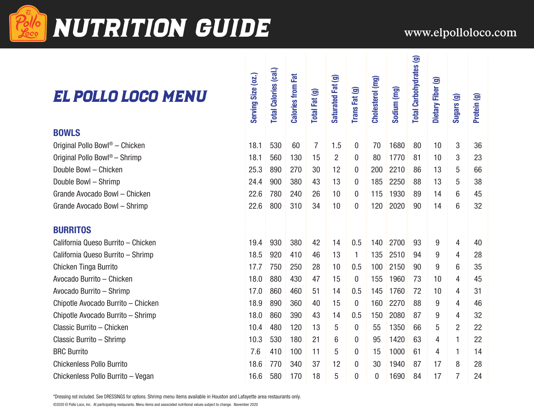

# **NUTRITION GUIDE** www.elpolloloco.com

(g) sa:

## EL POLLO LOCO ME

| EL POLLO LOGO MENU                                                                                                             | Serving Size (02.) | <b>Total Calories (cal.)</b> | <b>Calories from Fat</b> | Total Fat (g)  | Saturated Fat (g) | Trans Fat (g)    | Cholesterol (mg) | Sodium (mg) | <b>Total Carbohydrates (g)</b> | Dietary Fiber (g) | Sugars (g)     | Protein (g) |  |
|--------------------------------------------------------------------------------------------------------------------------------|--------------------|------------------------------|--------------------------|----------------|-------------------|------------------|------------------|-------------|--------------------------------|-------------------|----------------|-------------|--|
| <b>BOWLS</b>                                                                                                                   |                    |                              |                          |                |                   |                  |                  |             |                                |                   |                |             |  |
| Original Pollo Bowl <sup>®</sup> - Chicken                                                                                     | 18.1               | 530                          | 60                       | $\overline{7}$ | 1.5               | 0                | 70               | 1680        | 80                             | 10                | 3              | 36          |  |
| Original Pollo Bowl <sup>®</sup> - Shrimp                                                                                      | 18.1               | 560                          | 130                      | 15             | $\overline{c}$    | $\mathbf{0}$     | 80               | 1770        | 81                             | 10                | 3              | 23          |  |
| Double Bowl - Chicken                                                                                                          | 25.3               | 890                          | 270                      | 30             | 12                | 0                | 200              | 2210        | 86                             | 13                | 5              | 66          |  |
| Double Bowl - Shrimp                                                                                                           | 24.4               | 900                          | 380                      | 43             | 13                | $\mathbf{0}$     | 185              | 2250        | 88                             | 13                | 5              | 38          |  |
| Grande Avocado Bowl - Chicken                                                                                                  | 22.6               | 780                          | 240                      | 26             | 10                | 0                | 115              | 1930        | 89                             | 14                | 6              | 45          |  |
| Grande Avocado Bowl - Shrimp                                                                                                   | 22.6               | 800                          | 310                      | 34             | 10                | 0                | 120              | 2020        | 90                             | 14                | 6              | 32          |  |
| <b>BURRITOS</b>                                                                                                                |                    |                              |                          |                |                   |                  |                  |             |                                |                   |                |             |  |
| California Queso Burrito - Chicken                                                                                             | 19.4               | 930                          | 380                      | 42             | 14                | 0.5              | 140              | 2700        | 93                             | 9                 | 4              | 40          |  |
| California Queso Burrito - Shrimp                                                                                              | 18.5               | 920                          | 410                      | 46             | 13                | $\mathbf{1}$     | 135              | 2510        | 94                             | 9                 | 4              | 28          |  |
| Chicken Tinga Burrito                                                                                                          | 17.7               | 750                          | 250                      | 28             | 10                | 0.5              | 100              | 2150        | 90                             | 9                 | 6              | 35          |  |
| Avocado Burrito - Chicken                                                                                                      | 18.0               | 880                          | 430                      | 47             | 15                | $\overline{0}$   | 155              | 1960        | 73                             | 10                | 4              | 45          |  |
| Avocado Burrito - Shrimp                                                                                                       | 17.0               | 860                          | 460                      | 51             | 14                | 0.5              | 145              | 1760        | 72                             | 10                | 4              | 31          |  |
| Chipotle Avocado Burrito - Chicken                                                                                             | 18.9               | 890                          | 360                      | 40             | 15                | $\bf{0}$         | 160              | 2270        | 88                             | 9                 | 4              | 46          |  |
| Chipotle Avocado Burrito - Shrimp                                                                                              | 18.0               | 860                          | 390                      | 43             | 14                | 0.5              | 150              | 2080        | 87                             | 9                 | 4              | 32          |  |
| Classic Burrito - Chicken                                                                                                      | 10.4               | 480                          | 120                      | 13             | 5                 | $\mathbf 0$      | 55               | 1350        | 66                             | 5                 | $\overline{2}$ | 22          |  |
| Classic Burrito - Shrimp                                                                                                       | 10.3               | 530                          | 180                      | 21             | 6                 | 0                | 95               | 1420        | 63                             | 4                 | 1              | 22          |  |
| <b>BRC Burrito</b>                                                                                                             | 7.6                | 410                          | 100                      | 11             | 5                 | 0                | 15               | 1000        | 61                             | 4                 | 1              | 14          |  |
| <b>Chickenless Pollo Burrito</b>                                                                                               | 18.6               | 770                          | 340                      | 37             | 12                | $\mathbf 0$      | 30               | 1940        | 87                             | 17                | 8              | 28          |  |
| Chickenless Pollo Burrito - Vegan                                                                                              | 16.6               | 580                          | 170                      | 18             | 5                 | $\boldsymbol{0}$ | 0                | 1690        | 84                             | 17                | $\overline{7}$ | 24          |  |
| *Dressing not included. See DRESSINGS for options. Shrimp menu items available in Houston and Lafayette area restaurants only. |                    |                              |                          |                |                   |                  |                  |             |                                |                   |                |             |  |

©2020 El Pollo Loco, Inc. At participating restaurants. Menu items and associated nutritional values subject to change. November 2020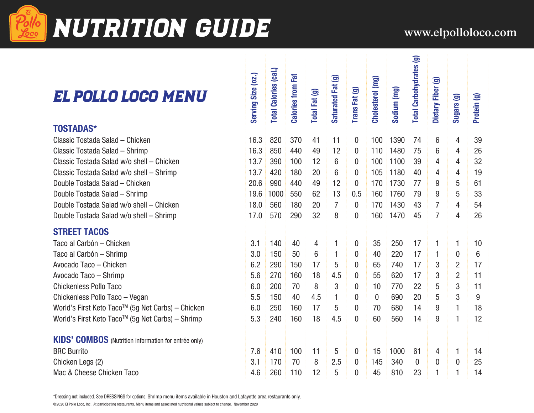

# NUTRITION GUIDE WWW.elpolloloco.com

## EL POLLO LOCO

| EL POLLO LOGO MENU                                                                                                                                                                                                                                                      | Serving Size (02.) | <b>Total Calories (cal.)</b> | <b>Calories from Fat</b> | Total Fat (g) | Saturated Fat (g) | Trans Fat (g)    | Cholesterol (mg) | Sodium (mg) | <b>Total Carbohydrates (g)</b> | Dietary Fiber (g) | Sugars (g)     | Protein (g) |  |
|-------------------------------------------------------------------------------------------------------------------------------------------------------------------------------------------------------------------------------------------------------------------------|--------------------|------------------------------|--------------------------|---------------|-------------------|------------------|------------------|-------------|--------------------------------|-------------------|----------------|-------------|--|
| <b>TOSTADAS*</b>                                                                                                                                                                                                                                                        |                    |                              |                          |               |                   |                  |                  |             |                                |                   |                |             |  |
| Classic Tostada Salad - Chicken                                                                                                                                                                                                                                         | 16.3               | 820                          | 370                      | 41            | 11                | $\boldsymbol{0}$ | 100              | 1390        | 74                             | 6                 | 4              | 39          |  |
| Classic Tostada Salad - Shrimp                                                                                                                                                                                                                                          | 16.3               | 850                          | 440                      | 49            | 12                | $\mathbf{0}$     | 110              | 1480        | 75                             | 6                 | 4              | 26          |  |
| Classic Tostada Salad w/o shell - Chicken                                                                                                                                                                                                                               | 13.7               | 390                          | 100                      | 12            | 6                 | $\mathbf{0}$     | 100              | 1100        | 39                             | 4                 | 4              | 32          |  |
| Classic Tostada Salad w/o shell - Shrimp                                                                                                                                                                                                                                | 13.7               | 420                          | 180                      | 20            | 6                 | $\mathbf 0$      | 105              | 1180        | 40                             | 4                 | 4              | 19          |  |
| Double Tostada Salad - Chicken                                                                                                                                                                                                                                          | 20.6               | 990                          | 440                      | 49            | 12                | $\mathbf{0}$     | 170              | 1730        | 77                             | 9                 | 5              | 61          |  |
| Double Tostada Salad - Shrimp                                                                                                                                                                                                                                           | 19.6               | 1000                         | 550                      | 62            | 13                | 0.5              | 160              | 1760        | 79                             | 9                 | 5              | 33          |  |
| Double Tostada Salad w/o shell - Chicken                                                                                                                                                                                                                                | 18.0               | 560                          | 180                      | 20            | $\overline{7}$    | $\bf{0}$         | 170              | 1430        | 43                             | $\overline{7}$    | 4              | 54          |  |
| Double Tostada Salad w/o shell - Shrimp                                                                                                                                                                                                                                 | 17.0               | 570                          | 290                      | 32            | 8                 | $\mathbf{0}$     | 160              | 1470        | 45                             | $\overline{7}$    | $\overline{4}$ | 26          |  |
| <b>STREET TACOS</b>                                                                                                                                                                                                                                                     |                    |                              |                          |               |                   |                  |                  |             |                                |                   |                |             |  |
| Taco al Carbón - Chicken                                                                                                                                                                                                                                                | 3.1                | 140                          | 40                       | 4             | 1                 | $\boldsymbol{0}$ | 35               | 250         | 17                             | 1                 | $\mathbf{1}$   | 10          |  |
| Taco al Carbón - Shrimp                                                                                                                                                                                                                                                 | 3.0                | 150                          | 50                       | 6             | $\mathbf{1}$      | $\mathbf 0$      | 40               | 220         | 17                             | 1                 | $\mathbf 0$    | 6           |  |
| Avocado Taco - Chicken                                                                                                                                                                                                                                                  | 6.2                | 290                          | 150                      | 17            | 5                 | $\mathbf{0}$     | 65               | 740         | 17                             | 3                 | $\overline{2}$ | 17          |  |
| Avocado Taco - Shrimp                                                                                                                                                                                                                                                   | 5.6                | 270                          | 160                      | 18            | 4.5               | $\mathbf{0}$     | 55               | 620         | 17                             | 3                 | $\overline{2}$ | 11          |  |
| <b>Chickenless Pollo Taco</b>                                                                                                                                                                                                                                           | 6.0                | 200                          | 70                       | 8             | 3                 | $\mathbf{0}$     | 10               | 770         | 22                             | 5                 | 3              | 11          |  |
| Chickenless Pollo Taco - Vegan                                                                                                                                                                                                                                          | 5.5                | 150                          | 40                       | 4.5           | 1                 | 0                | $\Omega$         | 690         | 20                             | 5                 | 3              | 9           |  |
| World's First Keto Taco™ (5g Net Carbs) - Chicken                                                                                                                                                                                                                       | 6.0                | 250                          | 160                      | 17            | 5                 | $\boldsymbol{0}$ | 70               | 680         | 14                             | 9                 | $\mathbf{1}$   | 18          |  |
| World's First Keto Taco™ (5g Net Carbs) - Shrimp                                                                                                                                                                                                                        | 5.3                | 240                          | 160                      | 18            | 4.5               | $\overline{0}$   | 60               | 560         | 14                             | 9                 | $\mathbf{1}$   | 12          |  |
| <b>KIDS' COMBOS</b> (Nutrition information for entrée only)                                                                                                                                                                                                             |                    |                              |                          |               |                   |                  |                  |             |                                |                   |                |             |  |
| <b>BRC Burrito</b>                                                                                                                                                                                                                                                      | 7.6                | 410                          | 100                      | 11            | 5                 | $\bf{0}$         | 15               | 1000        | 61                             | 4                 | 1              | 14          |  |
| Chicken Legs (2)                                                                                                                                                                                                                                                        | 3.1                | 170                          | 70                       | 8             | 2.5               | $\boldsymbol{0}$ | 145              | 340         | $\mathbf 0$                    | $\mathbf{0}$      | $\overline{0}$ | 25          |  |
| Mac & Cheese Chicken Taco                                                                                                                                                                                                                                               | 4.6                | 260                          | 110                      | 12            | 5                 | 0                | 45               | 810         | 23                             | 1                 | 1              | 14          |  |
| *Dressing not included. See DRESSINGS for options. Shrimp menu items available in Houston and Lafayette area restaurants only.<br>©2020 El Pollo Loco, Inc. At participating restaurants. Menu items and associated nutritional values subject to change. November 2020 |                    |                              |                          |               |                   |                  |                  |             |                                |                   |                |             |  |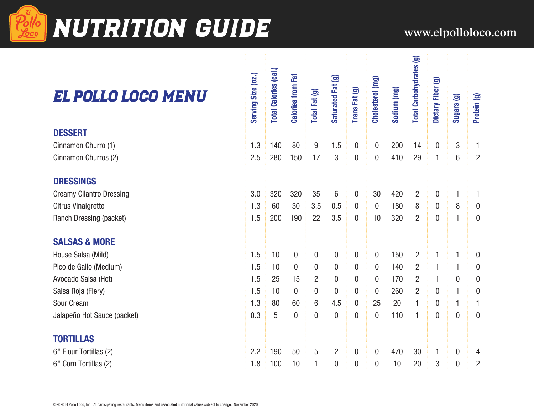

## **NUTRITION GUIDE** www.elpolloloco.com

### El Pollo Loco Menu

| EL POLLO LOCO MENU              | Serving Size (02.) | <b>Total Calories (cal.)</b> | <b>Calories from Fat</b> | Total Fat (g)  | Saturated Fat (g) | Trans Fat (g)    | Cholesterol (mg) | Sodium (mg) | <b>Total Carbohydrates (g)</b> | Dietary Fiber (g) | Sugars (g)       | Protein (g)      |
|---------------------------------|--------------------|------------------------------|--------------------------|----------------|-------------------|------------------|------------------|-------------|--------------------------------|-------------------|------------------|------------------|
| <b>DESSERT</b>                  |                    |                              |                          |                |                   |                  |                  |             |                                |                   |                  |                  |
| Cinnamon Churro (1)             | 1.3                | 140                          | 80                       | 9              | 1.5               | $\overline{0}$   | $\mathbf{0}$     | 200         | 14                             | $\overline{0}$    | 3                | 1                |
| Cinnamon Churros (2)            | 2.5                | 280                          | 150                      | 17             | 3                 | $\pmb{0}$        | $\boldsymbol{0}$ | 410         | 29                             | $\mathbf{1}$      | 6                | $\overline{2}$   |
| <b>DRESSINGS</b>                |                    |                              |                          |                |                   |                  |                  |             |                                |                   |                  |                  |
| <b>Creamy Cilantro Dressing</b> | 3.0                | 320                          | 320                      | 35             | 6                 | $\mathbf{0}$     | 30               | 420         | $\overline{2}$                 | 0                 | 1                | 1                |
| Citrus Vinaigrette              | 1.3                | 60                           | 30                       | 3.5            | 0.5               | $\overline{0}$   | $\overline{0}$   | 180         | 8                              | 0                 | 8                | $\mathbf 0$      |
| Ranch Dressing (packet)         | 1.5                | 200                          | 190                      | 22             | 3.5               | 0                | 10               | 320         | $\overline{2}$                 | $\boldsymbol{0}$  | 1                | $\boldsymbol{0}$ |
| <b>SALSAS &amp; MORE</b>        |                    |                              |                          |                |                   |                  |                  |             |                                |                   |                  |                  |
| House Salsa (Mild)              | 1.5                | 10                           | $\mathbf{0}$             | $\mathbf{0}$   | $\mathbf 0$       | $\mathbf 0$      | $\mathbf{0}$     | 150         | $\overline{2}$                 | 1                 | 1                | $\boldsymbol{0}$ |
| Pico de Gallo (Medium)          | 1.5                | 10                           | $\overline{0}$           | 0              | $\boldsymbol{0}$  | 0                | 0                | 140         | $\overline{2}$                 | 1                 | 1                | 0                |
| Avocado Salsa (Hot)             | 1.5                | 25                           | 15                       | 2              | 0                 | 0                | $\bf{0}$         | 170         | $\overline{2}$                 | 1                 | 0                | 0                |
| Salsa Roja (Fiery)              | 1.5                | 10                           | $\bf{0}$                 | $\mathbf{0}$   | $\boldsymbol{0}$  | $\boldsymbol{0}$ | $\bf{0}$         | 260         | 2                              | 0                 | 1                | $\bf{0}$         |
| Sour Cream                      | 1.3                | 80                           | 60                       | 6              | 4.5               | 0                | 25               | 20          | 1                              | 0                 | 1                | 1                |
| Jalapeño Hot Sauce (packet)     | 0.3                | 5                            | $\mathbf{0}$             | $\overline{0}$ | $\overline{0}$    | $\mathbf{0}$     | $\mathbf{0}$     | 110         | 1                              | $\mathbf{0}$      | $\mathbf 0$      | $\mathbf{0}$     |
| <b>TORTILLAS</b>                |                    |                              |                          |                |                   |                  |                  |             |                                |                   |                  |                  |
| 6" Flour Tortillas (2)          | 2.2                | 190                          | 50                       | 5              | $\overline{2}$    | 0                | $\boldsymbol{0}$ | 470         | 30                             | 1                 | $\boldsymbol{0}$ | 4                |
| 6" Corn Tortillas (2)           | 1.8                | 100                          | 10                       | 1              | $\mathbf 0$       | $\boldsymbol{0}$ | $\mathbf{0}$     | 10          | 20                             | 3                 | 0                | $\overline{2}$   |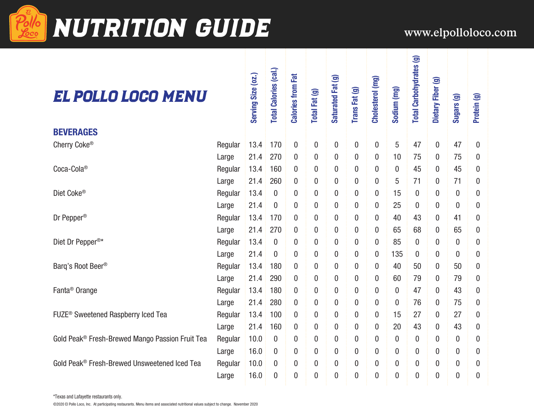

# Pollo NUTRITION GUIDE WWW.elpolloloco.com

 $tes(9)$ 

### El Pollo Loco Menu

| EL POLLO LOGO MENU                              |         | Serving Size (02.) | <b>Total Calories (cal.)</b> | <b>Calories from Fat</b> | Total Fat (g)    | Saturated Fat (g) | Trans Fat (g)    | Cholesterol (mg) | Sodium (mg)    | <b>Total Carbohydrates (g)</b> | Dietary Fiber (g) | Sugars (g)       | Protein (g)  |
|-------------------------------------------------|---------|--------------------|------------------------------|--------------------------|------------------|-------------------|------------------|------------------|----------------|--------------------------------|-------------------|------------------|--------------|
| <b>BEVERAGES</b>                                |         |                    |                              |                          |                  |                   |                  |                  |                |                                |                   |                  |              |
| Cherry Coke®                                    | Regular | 13.4               | 170                          | $\boldsymbol{0}$         | 0                | $\bf{0}$          | 0                | $\theta$         | 5              | 47                             | $\boldsymbol{0}$  | 47               | $\mathbf{0}$ |
|                                                 | Large   | 21.4               | 270                          | $\boldsymbol{0}$         | 0                | 0                 | 0                | $\mathbf{0}$     | 10             | 75                             | 0                 | 75               | 0            |
| Coca-Cola®                                      | Regular | 13.4               | 160                          | $\boldsymbol{0}$         | $\mathbf{0}$     | 0                 | $\boldsymbol{0}$ | $\overline{0}$   | $\mathbf{0}$   | 45                             | 0                 | 45               | 0            |
|                                                 | Large   | 21.4               | 260                          | $\mathbf{0}$             | 0                | 0                 | $\boldsymbol{0}$ | $\theta$         | 5              | 71                             | 0                 | 71               | 0            |
| Diet Coke®                                      | Regular | 13.4               | 0                            | $\theta$                 | 0                | 0                 | 0                | $\boldsymbol{0}$ | 15             | $\overline{0}$                 | 0                 | 0                | 0            |
|                                                 | Large   | 21.4               | 0                            | $\boldsymbol{0}$         | 0                | 0                 | 0                | $\boldsymbol{0}$ | 25             | $\bf{0}$                       | 0                 | 0                | 0            |
| Dr Pepper <sup>®</sup>                          | Regular | 13.4               | 170                          | $\boldsymbol{0}$         | 0                | 0                 | 0                | 0                | 40             | 43                             | 0                 | 41               | 0            |
|                                                 | Large   | 21.4               | 270                          | $\boldsymbol{0}$         | 0                | 0                 | $\boldsymbol{0}$ | $\mathbf{0}$     | 65             | 68                             | $\boldsymbol{0}$  | 65               | 0            |
| Diet Dr Pepper <sup>®*</sup>                    | Regular | 13.4               | $\boldsymbol{0}$             | $\overline{0}$           | 0                | 0                 | $\boldsymbol{0}$ | $\mathbf{0}$     | 85             | $\overline{0}$                 | $\overline{0}$    | $\mathbf{0}$     | 0            |
|                                                 | Large   | 21.4               | $\overline{0}$               | $\mathbf{0}$             | 0                | 0                 | $\boldsymbol{0}$ | $\mathbf{0}$     | 135            | $\mathbf 0$                    | 0                 | $\mathbf{0}$     | 0            |
| Barg's Root Beer®                               | Regular | 13.4               | 180                          | $\mathbf 0$              | 0                | 0                 | $\boldsymbol{0}$ | $\bf{0}$         | 40             | 50                             | $\boldsymbol{0}$  | 50               | 0            |
|                                                 | Large   | 21.4               | 290                          | $\mathbf 0$              | 0                | 0                 | 0                | $\bf{0}$         | 60             | 79                             | 0                 | 79               | 0            |
| Fanta <sup>®</sup> Orange                       | Regular | 13.4               | 180                          | $\theta$                 | 0                | 0                 | 0                | 0                | $\mathbf{0}$   | 47                             | 0                 | 43               | 0            |
|                                                 | Large   | 21.4               | 280                          | $\overline{0}$           | $\overline{0}$   | 0                 | 0                | $\overline{0}$   | $\mathbf 0$    | 76                             | 0                 | 75               | 0            |
| FUZE <sup>®</sup> Sweetened Raspberry Iced Tea  | Regular | 13.4               | 100                          | $\mathbf 0$              | $\mathbf{0}$     | $\boldsymbol{0}$  | $\boldsymbol{0}$ | $\mathbf 0$      | 15             | 27                             | $\boldsymbol{0}$  | 27               | 0            |
|                                                 | Large   | 21.4               | 160                          | $\boldsymbol{0}$         | 0                | 0                 | $\boldsymbol{0}$ | $\boldsymbol{0}$ | 20             | 43                             | 0                 | 43               | 0            |
| Gold Peak® Fresh-Brewed Mango Passion Fruit Tea | Regular | 10.0               | $\boldsymbol{0}$             | $\mathbf{0}$             | $\boldsymbol{0}$ | $\boldsymbol{0}$  | $\boldsymbol{0}$ | $\mathbf{0}$     | $\mathbf{0}$   | $\boldsymbol{0}$               | 0                 | $\boldsymbol{0}$ | 0            |
|                                                 | Large   | 16.0               | 0                            | $\theta$                 | $\bf{0}$         | 0                 | 0                | $\overline{0}$   | $\mathbf{0}$   | $\bf{0}$                       | 0                 | 0                | 0            |
| Gold Peak® Fresh-Brewed Unsweetened Iced Tea    | Regular | 10.0               | 0                            | $\boldsymbol{0}$         | 0                | 0                 | $\boldsymbol{0}$ | $\overline{0}$   | $\mathbf{0}$   | $\boldsymbol{0}$               | 0                 | $\mathbf{0}$     | 0            |
|                                                 | Large   | 16.0               | $\overline{0}$               | $\overline{0}$           | $\overline{0}$   | $\overline{0}$    | 0                | $\overline{0}$   | $\overline{0}$ | $\overline{0}$                 | 0                 | $\overline{0}$   | 0            |

\*Texas and Lafayette restaurants only.

©2020 El Pollo Loco, Inc. At participating restaurants. Menu items and associated nutritional values subject to change. November 2020